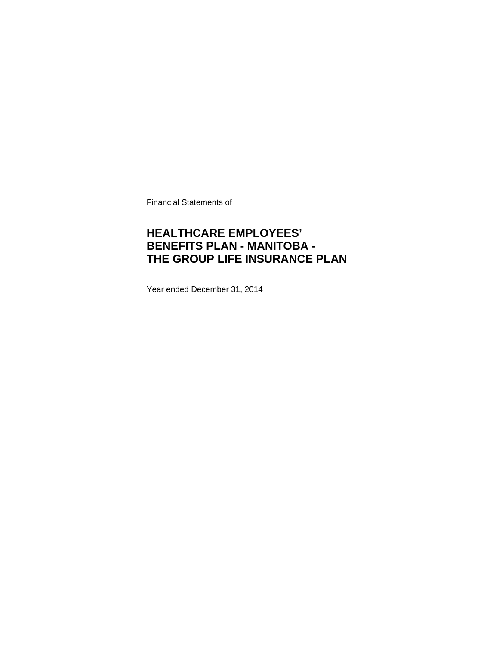Financial Statements of

## **HEALTHCARE EMPLOYEES' BENEFITS PLAN - MANITOBA - THE GROUP LIFE INSURANCE PLAN**

Year ended December 31, 2014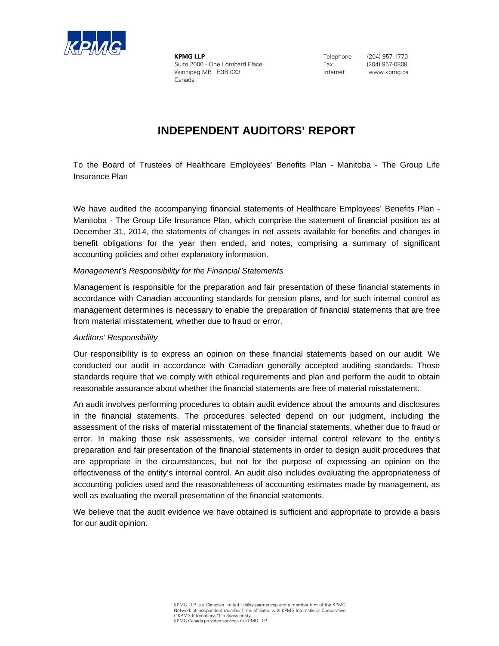

**KPMG LLP** Suite 2000 - One Lombard Place Winnipeg MB R3B 0X3 Canada

 Telephone (204) 957-1770 Fax (204) 957-0808 Internet www.kpmg.ca

## **INDEPENDENT AUDITORS' REPORT**

To the Board of Trustees of Healthcare Employees' Benefits Plan - Manitoba - The Group Life Insurance Plan

Manitoba - The Group Life Insurance Plan, which comprise the statement of financial position as at December 31, 2014, the statements of changes in net assets available for benefits and changes in benefit obligations for the year then ended, and notes, comprising a summary of significant We have audited the accompanying financial statements of Healthcare Employees' Benefits Plan accounting policies and other explanatory information.

## *Management's Responsibility for the Financial Statements*

Management is responsible for the preparation and fair presentation of these financial statements in accordance with Canadian accounting standards for pension plans, and for such internal control as management determines is necessary to enable the preparation of financial statements that are free from material misstatement, whether due to fraud or error.

### *Auditors' Responsibility*

Our responsibility is to express an opinion on these financial statements based on our audit. We conducted our audit in accordance with Canadian generally accepted auditing standards. Those standards require that we comply with ethical requirements and plan and perform the audit to obtain reasonable assurance about whether the financial statements are free of material misstatement.

An audit involves performing procedures to obtain audit evidence about the amounts and disclosures in the financial statements. The procedures selected depend on our judgment, including the assessment of the risks of material misstatement of the financial statements, whether due to fraud or error. In making those risk assessments, we consider internal control relevant to the entity's preparation and fair presentation of the financial statements in order to design audit procedures that are appropriate in the circumstances, but not for the purpose of expressing an opinion on the effectiveness of the entity's internal control. An audit also includes evaluating the appropriateness of accounting policies used and the reasonableness of accounting estimates made by management, as well as evaluating the overall presentation of the financial statements.

We believe that the audit evidence we have obtained is sufficient and appropriate to provide a basis for our audit opinion.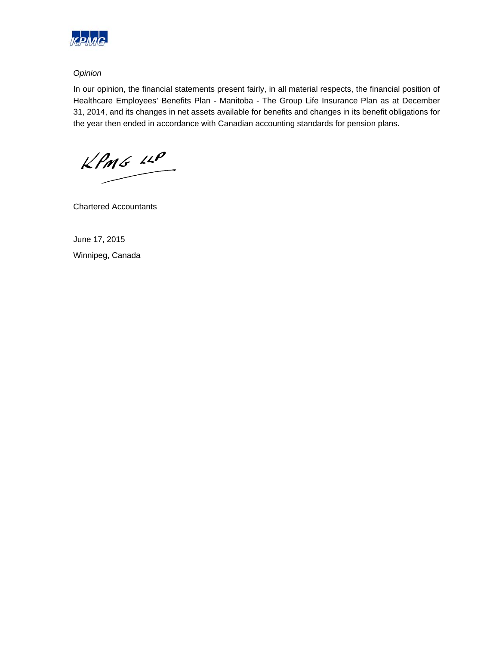

### *Opinion*

In our opinion, the financial statements present fairly, in all material respects, the financial position of Healthcare Employees' Benefits Plan - Manitoba - The Group Life Insurance Plan as at December 31, 2014, and its changes in net assets available for benefits and changes in its benefit obligations for the year then ended in accordance with Canadian accounting standards for pension plans.

 $KPMG$  14P

Chartered Accountants

June 17, 2015 Winnipeg, Canada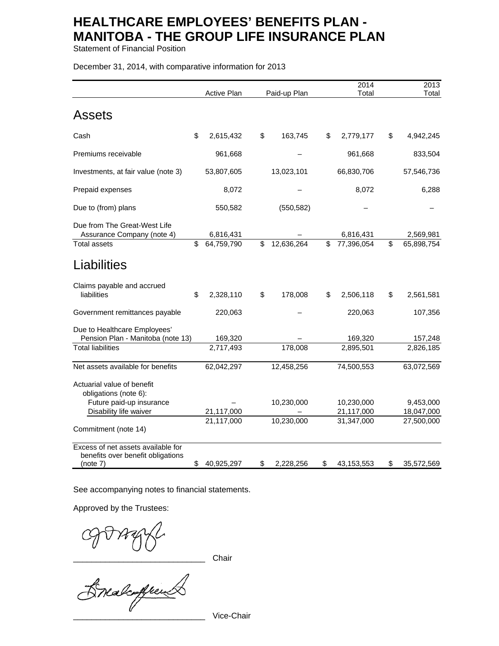Statement of Financial Position

December 31, 2014, with comparative information for 2013

|                                                                                     | <b>Active Plan</b> | Paid-up Plan     | 2014<br>Total      | 2013<br>Total    |
|-------------------------------------------------------------------------------------|--------------------|------------------|--------------------|------------------|
| <b>Assets</b>                                                                       |                    |                  |                    |                  |
| Cash                                                                                | \$<br>2,615,432    | \$<br>163,745    | \$<br>2,779,177    | \$<br>4,942,245  |
| Premiums receivable                                                                 | 961,668            |                  | 961,668            | 833,504          |
| Investments, at fair value (note 3)                                                 | 53,807,605         | 13,023,101       | 66,830,706         | 57,546,736       |
| Prepaid expenses                                                                    | 8,072              |                  | 8,072              | 6,288            |
| Due to (from) plans                                                                 | 550,582            | (550, 582)       |                    |                  |
| Due from The Great-West Life<br>Assurance Company (note 4)                          | 6,816,431          |                  | 6,816,431          | 2,569,981        |
| Total assets                                                                        | \$<br>64,759,790   | \$<br>12,636,264 | \$<br>77,396,054   | \$<br>65,898,754 |
| Liabilities                                                                         |                    |                  |                    |                  |
| Claims payable and accrued<br>liabilities                                           | \$<br>2,328,110    | \$<br>178,008    | \$<br>2,506,118    | \$<br>2,561,581  |
| Government remittances payable                                                      | 220,063            |                  | 220,063            | 107,356          |
| Due to Healthcare Employees'<br>Pension Plan - Manitoba (note 13)                   | 169,320            |                  | 169,320            | 157,248          |
| <b>Total liabilities</b>                                                            | 2,717,493          | 178,008          | 2,895,501          | 2,826,185        |
| Net assets available for benefits                                                   | 62,042,297         | 12,458,256       | 74,500,553         | 63,072,569       |
| Actuarial value of benefit<br>obligations (note 6):                                 |                    |                  |                    |                  |
| Future paid-up insurance                                                            |                    | 10,230,000       | 10,230,000         | 9,453,000        |
| Disability life waiver                                                              | 21,117,000         |                  | 21,117,000         | 18,047,000       |
| Commitment (note 14)                                                                | 21,117,000         | 10,230,000       | 31,347,000         | 27,500,000       |
| Excess of net assets available for<br>benefits over benefit obligations<br>(note 7) | \$<br>40,925,297   | \$<br>2,228,256  | \$<br>43, 153, 553 | \$<br>35,572,569 |

See accompanying notes to financial statements.

Approved by the Trustees:

GUMMU)

\_\_\_\_\_\_\_\_\_\_\_\_\_\_\_\_\_\_\_\_\_\_\_\_\_\_\_\_\_ Vice-Chair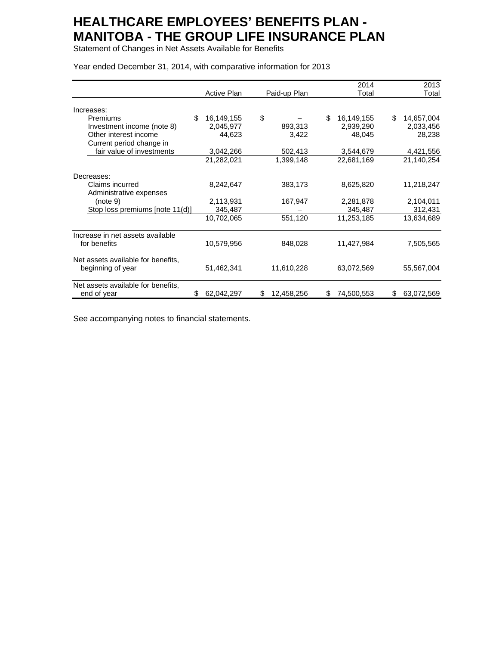Statement of Changes in Net Assets Available for Benefits

|                                    |             |                  | 2014             | 2013             |
|------------------------------------|-------------|------------------|------------------|------------------|
|                                    | Active Plan | Paid-up Plan     | Total            | Total            |
| Increases:                         |             |                  |                  |                  |
| \$<br>Premiums                     | 16,149,155  | \$               | \$<br>16,149,155 | \$<br>14,657,004 |
| Investment income (note 8)         | 2,045,977   | 893,313          | 2,939,290        | 2,033,456        |
| Other interest income              | 44,623      | 3,422            | 48,045           | 28,238           |
| Current period change in           |             |                  |                  |                  |
| fair value of investments          | 3,042,266   | 502,413          | 3,544,679        | 4,421,556        |
|                                    | 21,282,021  | 1,399,148        | 22,681,169       | 21,140,254       |
| Decreases:                         |             |                  |                  |                  |
| Claims incurred                    | 8,242,647   | 383,173          | 8,625,820        | 11,218,247       |
| Administrative expenses            |             |                  |                  |                  |
| (note 9)                           | 2,113,931   | 167,947          | 2,281,878        | 2,104,011        |
| Stop loss premiums [note 11(d)]    | 345,487     |                  | 345,487          | 312,431          |
|                                    | 10,702,065  | 551,120          | 11,253,185       | 13,634,689       |
| Increase in net assets available   |             |                  |                  |                  |
| for benefits                       | 10,579,956  | 848,028          | 11,427,984       | 7,505,565        |
| Net assets available for benefits, |             |                  |                  |                  |
| beginning of year                  | 51,462,341  | 11,610,228       | 63,072,569       | 55,567,004       |
| Net assets available for benefits, |             |                  |                  |                  |
| \$<br>end of year                  | 62,042,297  | \$<br>12,458,256 | 74,500,553<br>\$ | 63,072,569<br>\$ |

Year ended December 31, 2014, with comparative information for 2013

See accompanying notes to financial statements.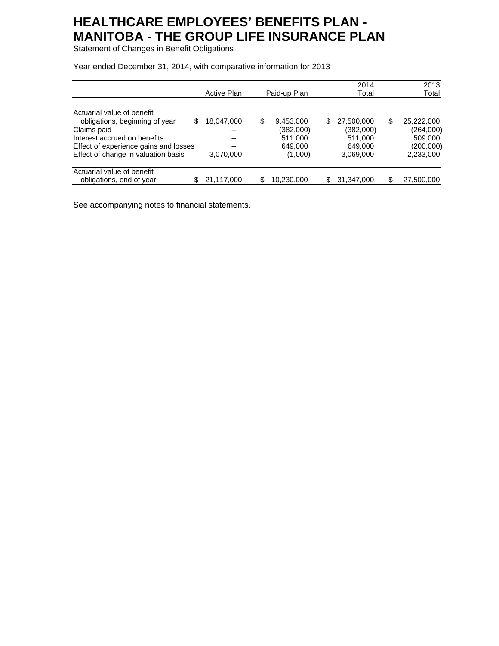Statement of Changes in Benefit Obligations

Year ended December 31, 2014, with comparative information for 2013

|                                                                                                                                                               | Active Plan                  | Paid-up Plan                                                  | 2014<br>Total                                                         | 2013<br>Total                                                |
|---------------------------------------------------------------------------------------------------------------------------------------------------------------|------------------------------|---------------------------------------------------------------|-----------------------------------------------------------------------|--------------------------------------------------------------|
| Actuarial value of benefit                                                                                                                                    |                              |                                                               |                                                                       |                                                              |
| obligations, beginning of year<br>Claims paid<br>Interest accrued on benefits<br>Effect of experience gains and losses<br>Effect of change in valuation basis | 18,047,000<br>S<br>3,070,000 | \$<br>9,453,000<br>(382,000)<br>511,000<br>649,000<br>(1,000) | \$<br>27,500,000<br>S<br>(382,000)<br>511.000<br>649.000<br>3,069,000 | 25,222,000<br>(264,000)<br>509.000<br>(200,000)<br>2,233,000 |
| Actuarial value of benefit<br>obligations, end of year                                                                                                        | 21,117,000                   | 10,230,000                                                    | S<br>31,347,000                                                       | 27,500,000                                                   |

See accompanying notes to financial statements.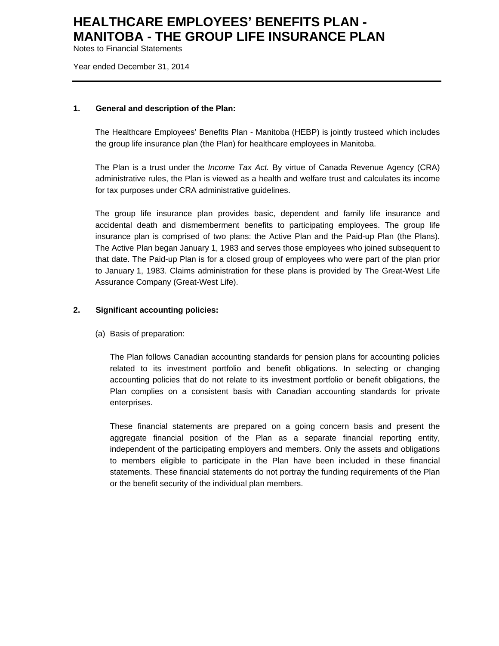Notes to Financial Statements

Year ended December 31, 2014

#### **1. General and description of the Plan:**

The Healthcare Employees' Benefits Plan - Manitoba (HEBP) is jointly trusteed which includes the group life insurance plan (the Plan) for healthcare employees in Manitoba.

The Plan is a trust under the *Income Tax Act.* By virtue of Canada Revenue Agency (CRA) administrative rules, the Plan is viewed as a health and welfare trust and calculates its income for tax purposes under CRA administrative guidelines.

The group life insurance plan provides basic, dependent and family life insurance and accidental death and dismemberment benefits to participating employees. The group life insurance plan is comprised of two plans: the Active Plan and the Paid-up Plan (the Plans). The Active Plan began January 1, 1983 and serves those employees who joined subsequent to that date. The Paid-up Plan is for a closed group of employees who were part of the plan prior to January 1, 1983. Claims administration for these plans is provided by The Great-West Life Assurance Company (Great-West Life).

### **2. Significant accounting policies:**

(a) Basis of preparation:

The Plan follows Canadian accounting standards for pension plans for accounting policies related to its investment portfolio and benefit obligations. In selecting or changing accounting policies that do not relate to its investment portfolio or benefit obligations, the Plan complies on a consistent basis with Canadian accounting standards for private enterprises.

These financial statements are prepared on a going concern basis and present the aggregate financial position of the Plan as a separate financial reporting entity, independent of the participating employers and members. Only the assets and obligations to members eligible to participate in the Plan have been included in these financial statements. These financial statements do not portray the funding requirements of the Plan or the benefit security of the individual plan members.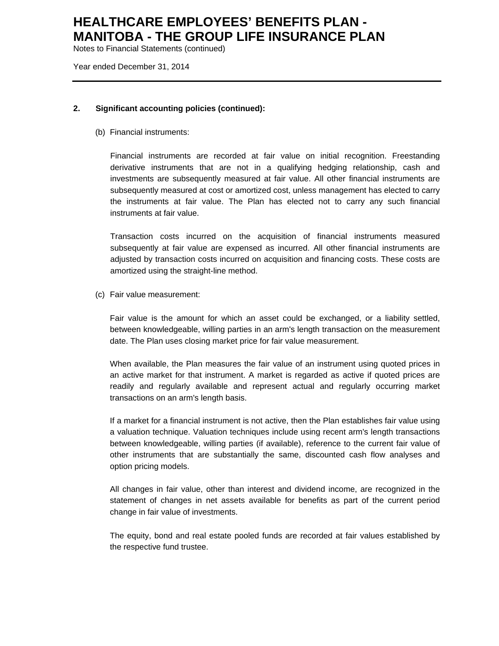Notes to Financial Statements (continued)

Year ended December 31, 2014

### **2. Significant accounting policies (continued):**

(b) Financial instruments:

Financial instruments are recorded at fair value on initial recognition. Freestanding derivative instruments that are not in a qualifying hedging relationship, cash and investments are subsequently measured at fair value. All other financial instruments are subsequently measured at cost or amortized cost, unless management has elected to carry the instruments at fair value. The Plan has elected not to carry any such financial instruments at fair value.

Transaction costs incurred on the acquisition of financial instruments measured subsequently at fair value are expensed as incurred. All other financial instruments are adjusted by transaction costs incurred on acquisition and financing costs. These costs are amortized using the straight-line method.

(c) Fair value measurement:

Fair value is the amount for which an asset could be exchanged, or a liability settled, between knowledgeable, willing parties in an arm's length transaction on the measurement date. The Plan uses closing market price for fair value measurement.

When available, the Plan measures the fair value of an instrument using quoted prices in an active market for that instrument. A market is regarded as active if quoted prices are readily and regularly available and represent actual and regularly occurring market transactions on an arm's length basis.

If a market for a financial instrument is not active, then the Plan establishes fair value using a valuation technique. Valuation techniques include using recent arm's length transactions between knowledgeable, willing parties (if available), reference to the current fair value of other instruments that are substantially the same, discounted cash flow analyses and option pricing models.

All changes in fair value, other than interest and dividend income, are recognized in the statement of changes in net assets available for benefits as part of the current period change in fair value of investments.

The equity, bond and real estate pooled funds are recorded at fair values established by the respective fund trustee.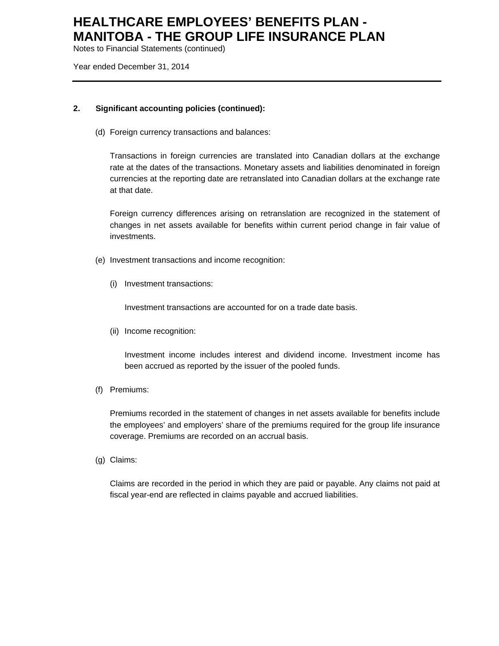Notes to Financial Statements (continued)

Year ended December 31, 2014

### **2. Significant accounting policies (continued):**

(d) Foreign currency transactions and balances:

Transactions in foreign currencies are translated into Canadian dollars at the exchange rate at the dates of the transactions. Monetary assets and liabilities denominated in foreign currencies at the reporting date are retranslated into Canadian dollars at the exchange rate at that date.

Foreign currency differences arising on retranslation are recognized in the statement of changes in net assets available for benefits within current period change in fair value of investments.

- (e) Investment transactions and income recognition:
	- (i) Investment transactions:

Investment transactions are accounted for on a trade date basis.

(ii) Income recognition:

Investment income includes interest and dividend income. Investment income has been accrued as reported by the issuer of the pooled funds.

(f) Premiums:

Premiums recorded in the statement of changes in net assets available for benefits include the employees' and employers' share of the premiums required for the group life insurance coverage. Premiums are recorded on an accrual basis.

(g) Claims:

 Claims are recorded in the period in which they are paid or payable. Any claims not paid at fiscal year-end are reflected in claims payable and accrued liabilities.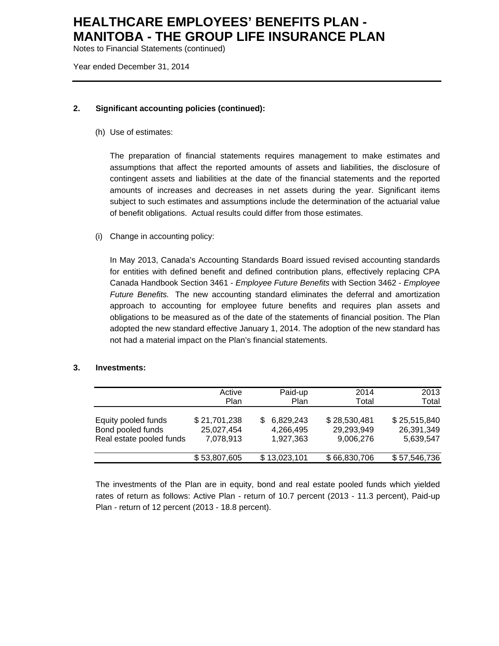Notes to Financial Statements (continued)

Year ended December 31, 2014

### **2. Significant accounting policies (continued):**

(h) Use of estimates:

The preparation of financial statements requires management to make estimates and assumptions that affect the reported amounts of assets and liabilities, the disclosure of contingent assets and liabilities at the date of the financial statements and the reported amounts of increases and decreases in net assets during the year. Significant items subject to such estimates and assumptions include the determination of the actuarial value of benefit obligations. Actual results could differ from those estimates.

(i) Change in accounting policy:

In May 2013, Canada's Accounting Standards Board issued revised accounting standards for entities with defined benefit and defined contribution plans, effectively replacing CPA Canada Handbook Section 3461 - *Employee Future Benefits* with Section 3462 - *Employee Future Benefits.* The new accounting standard eliminates the deferral and amortization approach to accounting for employee future benefits and requires plan assets and obligations to be measured as of the date of the statements of financial position. The Plan adopted the new standard effective January 1, 2014. The adoption of the new standard has not had a material impact on the Plan's financial statements.

#### **3. Investments:**

|                                                                      | Active<br>Plan                          | Paid-up<br>Plan                            | 2014<br>Total                           | 2013<br>Total                           |
|----------------------------------------------------------------------|-----------------------------------------|--------------------------------------------|-----------------------------------------|-----------------------------------------|
| Equity pooled funds<br>Bond pooled funds<br>Real estate pooled funds | \$21,701,238<br>25,027,454<br>7,078,913 | 6,829,243<br>\$.<br>4,266,495<br>1,927,363 | \$28,530,481<br>29,293,949<br>9,006,276 | \$25,515,840<br>26,391,349<br>5,639,547 |
|                                                                      | \$53,807,605                            | \$13,023,101                               | \$66,830,706                            | \$57,546,736                            |

The investments of the Plan are in equity, bond and real estate pooled funds which yielded rates of return as follows: Active Plan - return of 10.7 percent (2013 - 11.3 percent), Paid-up Plan - return of 12 percent (2013 - 18.8 percent).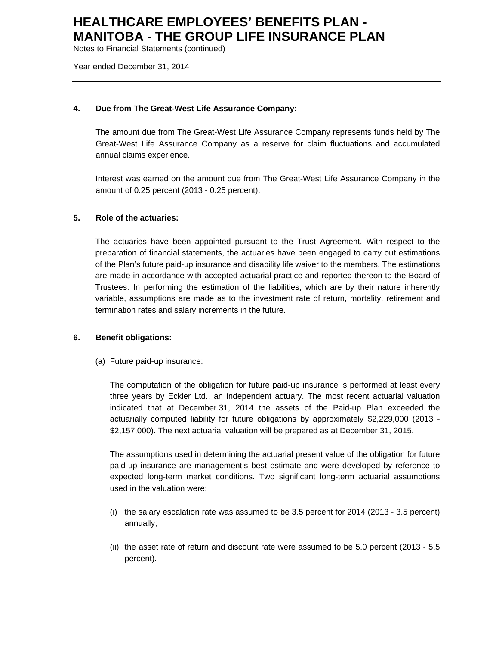Notes to Financial Statements (continued)

Year ended December 31, 2014

### **4. Due from The Great-West Life Assurance Company:**

The amount due from The Great-West Life Assurance Company represents funds held by The Great-West Life Assurance Company as a reserve for claim fluctuations and accumulated annual claims experience.

Interest was earned on the amount due from The Great-West Life Assurance Company in the amount of 0.25 percent (2013 - 0.25 percent).

### **5. Role of the actuaries:**

The actuaries have been appointed pursuant to the Trust Agreement. With respect to the preparation of financial statements, the actuaries have been engaged to carry out estimations of the Plan's future paid-up insurance and disability life waiver to the members. The estimations are made in accordance with accepted actuarial practice and reported thereon to the Board of Trustees. In performing the estimation of the liabilities, which are by their nature inherently variable, assumptions are made as to the investment rate of return, mortality, retirement and termination rates and salary increments in the future.

#### **6. Benefit obligations:**

(a) Future paid-up insurance:

The computation of the obligation for future paid-up insurance is performed at least every three years by Eckler Ltd., an independent actuary. The most recent actuarial valuation indicated that at December 31, 2014 the assets of the Paid-up Plan exceeded the actuarially computed liability for future obligations by approximately \$2,229,000 (2013 - \$2,157,000). The next actuarial valuation will be prepared as at December 31, 2015.

The assumptions used in determining the actuarial present value of the obligation for future paid-up insurance are management's best estimate and were developed by reference to expected long-term market conditions. Two significant long-term actuarial assumptions used in the valuation were:

- (i) the salary escalation rate was assumed to be 3.5 percent for 2014 (2013 3.5 percent) annually;
- (ii) the asset rate of return and discount rate were assumed to be 5.0 percent (2013 5.5 percent).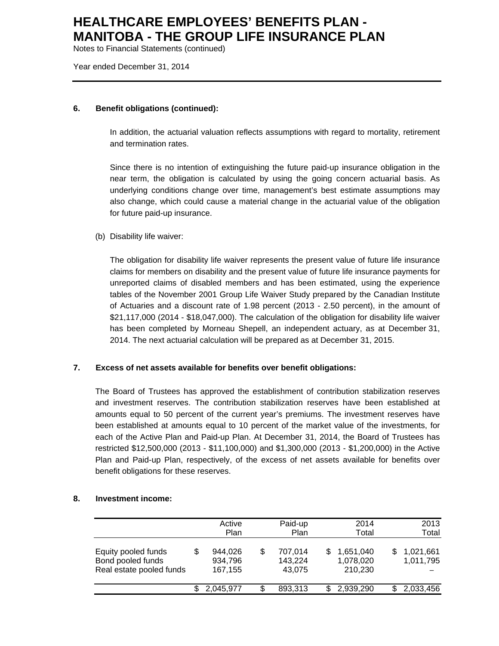Notes to Financial Statements (continued)

Year ended December 31, 2014

### **6. Benefit obligations (continued):**

In addition, the actuarial valuation reflects assumptions with regard to mortality, retirement and termination rates.

Since there is no intention of extinguishing the future paid-up insurance obligation in the near term, the obligation is calculated by using the going concern actuarial basis. As underlying conditions change over time, management's best estimate assumptions may also change, which could cause a material change in the actuarial value of the obligation for future paid-up insurance.

(b) Disability life waiver:

The obligation for disability life waiver represents the present value of future life insurance claims for members on disability and the present value of future life insurance payments for unreported claims of disabled members and has been estimated, using the experience tables of the November 2001 Group Life Waiver Study prepared by the Canadian Institute of Actuaries and a discount rate of 1.98 percent (2013 - 2.50 percent), in the amount of \$21,117,000 (2014 - \$18,047,000). The calculation of the obligation for disability life waiver has been completed by Morneau Shepell, an independent actuary, as at December 31, 2014. The next actuarial calculation will be prepared as at December 31, 2015.

### **7. Excess of net assets available for benefits over benefit obligations:**

The Board of Trustees has approved the establishment of contribution stabilization reserves and investment reserves. The contribution stabilization reserves have been established at amounts equal to 50 percent of the current year's premiums. The investment reserves have been established at amounts equal to 10 percent of the market value of the investments, for each of the Active Plan and Paid-up Plan. At December 31, 2014, the Board of Trustees has restricted \$12,500,000 (2013 - \$11,100,000) and \$1,300,000 (2013 - \$1,200,000) in the Active Plan and Paid-up Plan, respectively, of the excess of net assets available for benefits over benefit obligations for these reserves.

#### **8. Investment income:**

|                                                                      | Active<br>Plan                      |    | Paid-up<br>Plan              |   | 2014<br>Total                     | 2013<br>Total          |
|----------------------------------------------------------------------|-------------------------------------|----|------------------------------|---|-----------------------------------|------------------------|
| Equity pooled funds<br>Bond pooled funds<br>Real estate pooled funds | \$<br>944,026<br>934,796<br>167,155 | \$ | 707,014<br>143,224<br>43.075 | S | 1,651,040<br>1,078,020<br>210.230 | 1,021,661<br>1,011,795 |
|                                                                      | 2.045.977                           | S  | 893,313                      |   | 2,939,290                         | 2,033,456              |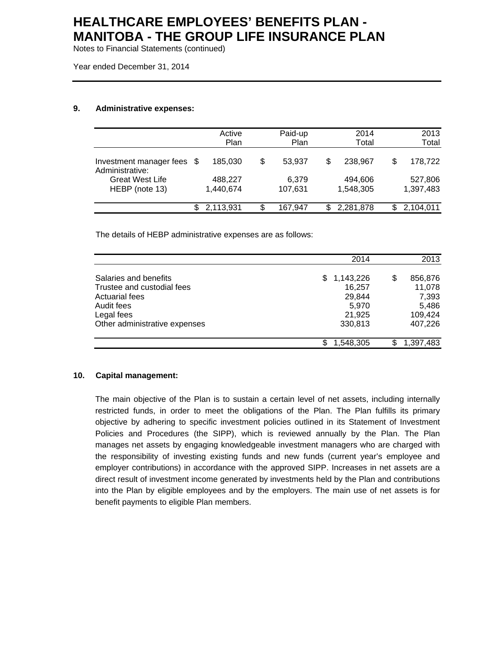Notes to Financial Statements (continued)

Year ended December 31, 2014

### **9. Administrative expenses:**

|                                               | Active<br>Plan       | Paid-up<br>Plan  |   | 2014<br>Total        |   | 2013<br>Total        |
|-----------------------------------------------|----------------------|------------------|---|----------------------|---|----------------------|
| Investment manager fees \$<br>Administrative: | 185.030              | \$<br>53.937     | S | 238.967              | S | 178.722              |
| <b>Great West Life</b><br>HEBP (note 13)      | 488,227<br>1,440,674 | 6,379<br>107,631 |   | 494,606<br>1,548,305 |   | 527,806<br>1,397,483 |
|                                               | 2,113,931            | \$<br>167.947    | S | 2,281,878            |   | 2,104,011            |

The details of HEBP administrative expenses are as follows:

|                               | 2014            |   | 2013      |
|-------------------------------|-----------------|---|-----------|
| Salaries and benefits         | 1,143,226<br>S. | S | 856,876   |
| Trustee and custodial fees    | 16,257          |   | 11,078    |
| <b>Actuarial fees</b>         | 29,844          |   | 7,393     |
| Audit fees                    | 5,970           |   | 5,486     |
| Legal fees                    | 21.925          |   | 109,424   |
| Other administrative expenses | 330,813         |   | 407,226   |
|                               | 1,548,305       | S | 1,397,483 |

#### **10. Capital management:**

The main objective of the Plan is to sustain a certain level of net assets, including internally restricted funds, in order to meet the obligations of the Plan. The Plan fulfills its primary objective by adhering to specific investment policies outlined in its Statement of Investment Policies and Procedures (the SIPP), which is reviewed annually by the Plan. The Plan manages net assets by engaging knowledgeable investment managers who are charged with the responsibility of investing existing funds and new funds (current year's employee and employer contributions) in accordance with the approved SIPP. Increases in net assets are a direct result of investment income generated by investments held by the Plan and contributions into the Plan by eligible employees and by the employers. The main use of net assets is for benefit payments to eligible Plan members.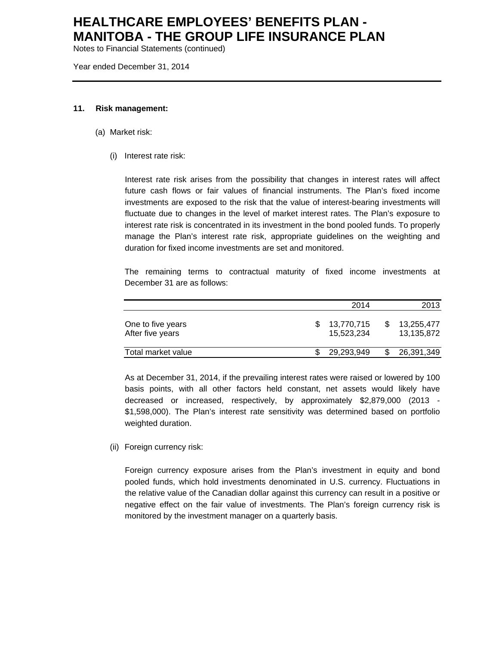Notes to Financial Statements (continued)

Year ended December 31, 2014

### **11. Risk management:**

- (a) Market risk:
	- (i) Interest rate risk:

Interest rate risk arises from the possibility that changes in interest rates will affect future cash flows or fair values of financial instruments. The Plan's fixed income investments are exposed to the risk that the value of interest-bearing investments will fluctuate due to changes in the level of market interest rates. The Plan's exposure to interest rate risk is concentrated in its investment in the bond pooled funds. To properly manage the Plan's interest rate risk, appropriate guidelines on the weighting and duration for fixed income investments are set and monitored.

The remaining terms to contractual maturity of fixed income investments at December 31 are as follows:

|                                       | 2014                     | 2013                     |
|---------------------------------------|--------------------------|--------------------------|
| One to five years<br>After five years | 13,770,715<br>15,523,234 | 13,255,477<br>13,135,872 |
| Total market value                    | 29,293,949               | 26,391,349               |

As at December 31, 2014, if the prevailing interest rates were raised or lowered by 100 basis points, with all other factors held constant, net assets would likely have decreased or increased, respectively, by approximately \$2,879,000 (2013 - \$1,598,000). The Plan's interest rate sensitivity was determined based on portfolio weighted duration.

(ii) Foreign currency risk:

Foreign currency exposure arises from the Plan's investment in equity and bond pooled funds, which hold investments denominated in U.S. currency. Fluctuations in the relative value of the Canadian dollar against this currency can result in a positive or negative effect on the fair value of investments. The Plan's foreign currency risk is monitored by the investment manager on a quarterly basis.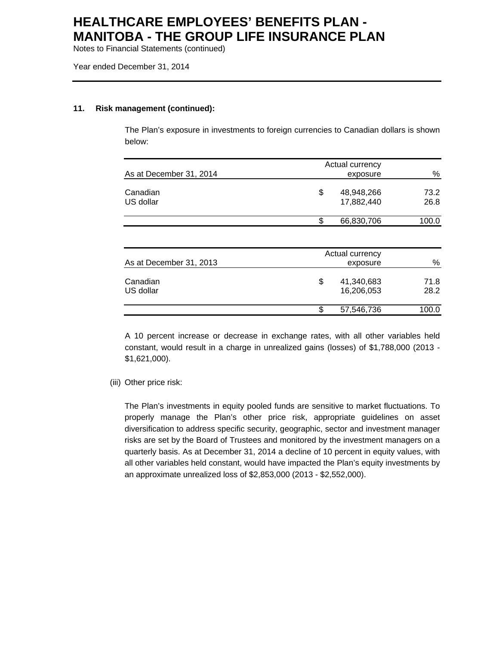Notes to Financial Statements (continued)

Year ended December 31, 2014

#### **11. Risk management (continued):**

The Plan's exposure in investments to foreign currencies to Canadian dollars is shown below:

| As at December 31, 2014 |                             | Actual currency<br>exposure | %            |
|-------------------------|-----------------------------|-----------------------------|--------------|
|                         |                             |                             |              |
| Canadian<br>US dollar   | \$                          | 48,948,266<br>17,882,440    | 73.2<br>26.8 |
|                         | \$                          | 66,830,706                  | 100.0        |
|                         |                             |                             |              |
| As at December 31, 2013 | Actual currency<br>exposure |                             | %            |
| Canadian<br>US dollar   | \$                          | 41,340,683<br>16,206,053    | 71.8<br>28.2 |
|                         | \$                          | 57,546,736                  | 100.0        |

A 10 percent increase or decrease in exchange rates, with all other variables held constant, would result in a charge in unrealized gains (losses) of \$1,788,000 (2013 - \$1,621,000).

#### (iii) Other price risk:

The Plan's investments in equity pooled funds are sensitive to market fluctuations. To properly manage the Plan's other price risk, appropriate guidelines on asset diversification to address specific security, geographic, sector and investment manager risks are set by the Board of Trustees and monitored by the investment managers on a quarterly basis. As at December 31, 2014 a decline of 10 percent in equity values, with all other variables held constant, would have impacted the Plan's equity investments by an approximate unrealized loss of \$2,853,000 (2013 - \$2,552,000).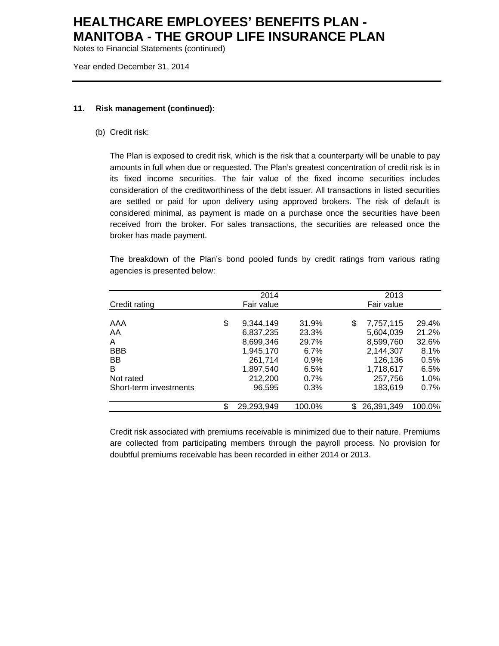Notes to Financial Statements (continued)

Year ended December 31, 2014

### **11. Risk management (continued):**

(b) Credit risk:

The Plan is exposed to credit risk, which is the risk that a counterparty will be unable to pay amounts in full when due or requested. The Plan's greatest concentration of credit risk is in its fixed income securities. The fair value of the fixed income securities includes consideration of the creditworthiness of the debt issuer. All transactions in listed securities are settled or paid for upon delivery using approved brokers. The risk of default is considered minimal, as payment is made on a purchase once the securities have been received from the broker. For sales transactions, the securities are released once the broker has made payment.

The breakdown of the Plan's bond pooled funds by credit ratings from various rating agencies is presented below:

|                        | 2014             |        |   | 2013       |         |
|------------------------|------------------|--------|---|------------|---------|
| Credit rating          | Fair value       |        |   | Fair value |         |
|                        |                  |        |   |            |         |
| AAA                    | \$<br>9,344,149  | 31.9%  | S | 7,757,115  | 29.4%   |
| AA                     | 6,837,235        | 23.3%  |   | 5,604,039  | 21.2%   |
| A                      | 8,699,346        | 29.7%  |   | 8,599,760  | 32.6%   |
| <b>BBB</b>             | 1,945,170        | 6.7%   |   | 2,144,307  | 8.1%    |
| <b>BB</b>              | 261,714          | 0.9%   |   | 126,136    | 0.5%    |
| B                      | 1,897,540        | 6.5%   |   | 1,718,617  | 6.5%    |
| Not rated              | 212,200          | 0.7%   |   | 257,756    | $1.0\%$ |
| Short-term investments | 96,595           | 0.3%   |   | 183.619    | $0.7\%$ |
|                        |                  |        |   |            |         |
|                        | \$<br>29,293,949 | 100.0% |   | 26,391,349 | 100.0%  |

Credit risk associated with premiums receivable is minimized due to their nature. Premiums are collected from participating members through the payroll process. No provision for doubtful premiums receivable has been recorded in either 2014 or 2013.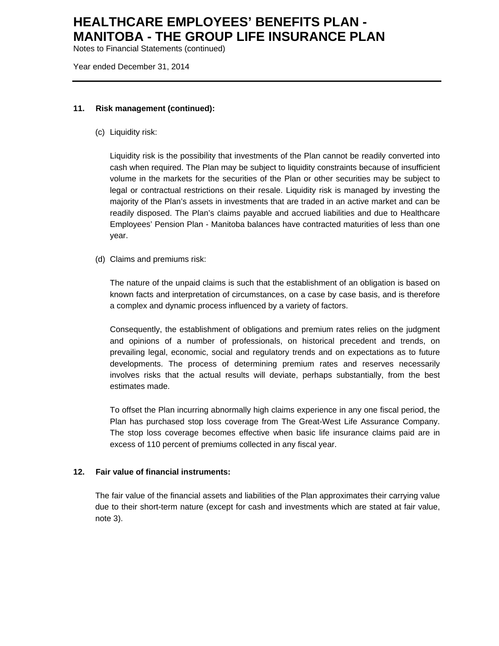Notes to Financial Statements (continued)

Year ended December 31, 2014

### **11. Risk management (continued):**

(c) Liquidity risk:

Liquidity risk is the possibility that investments of the Plan cannot be readily converted into cash when required. The Plan may be subject to liquidity constraints because of insufficient volume in the markets for the securities of the Plan or other securities may be subject to legal or contractual restrictions on their resale. Liquidity risk is managed by investing the majority of the Plan's assets in investments that are traded in an active market and can be readily disposed. The Plan's claims payable and accrued liabilities and due to Healthcare Employees' Pension Plan - Manitoba balances have contracted maturities of less than one year.

(d) Claims and premiums risk:

The nature of the unpaid claims is such that the establishment of an obligation is based on known facts and interpretation of circumstances, on a case by case basis, and is therefore a complex and dynamic process influenced by a variety of factors.

Consequently, the establishment of obligations and premium rates relies on the judgment and opinions of a number of professionals, on historical precedent and trends, on prevailing legal, economic, social and regulatory trends and on expectations as to future developments. The process of determining premium rates and reserves necessarily involves risks that the actual results will deviate, perhaps substantially, from the best estimates made.

To offset the Plan incurring abnormally high claims experience in any one fiscal period, the Plan has purchased stop loss coverage from The Great-West Life Assurance Company. The stop loss coverage becomes effective when basic life insurance claims paid are in excess of 110 percent of premiums collected in any fiscal year.

#### **12. Fair value of financial instruments:**

The fair value of the financial assets and liabilities of the Plan approximates their carrying value due to their short-term nature (except for cash and investments which are stated at fair value, note 3).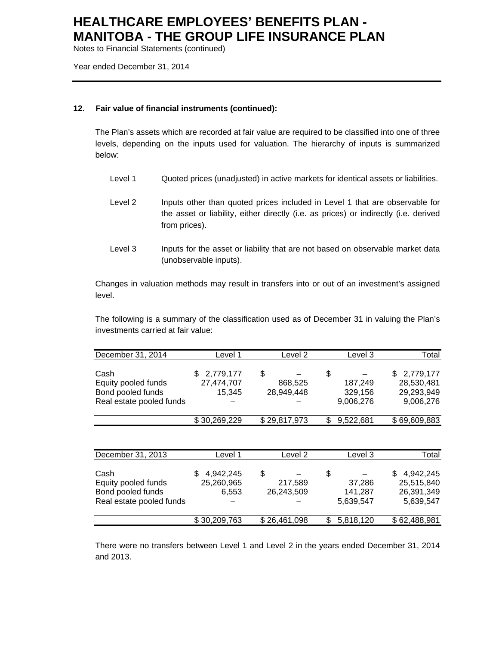Notes to Financial Statements (continued)

Year ended December 31, 2014

### **12. Fair value of financial instruments (continued):**

The Plan's assets which are recorded at fair value are required to be classified into one of three levels, depending on the inputs used for valuation. The hierarchy of inputs is summarized below:

- Level 1 Quoted prices (unadjusted) in active markets for identical assets or liabilities.
- Level 2 Inputs other than quoted prices included in Level 1 that are observable for the asset or liability, either directly (i.e. as prices) or indirectly (i.e. derived from prices).
- Level 3 Inputs for the asset or liability that are not based on observable market data (unobservable inputs).

Changes in valuation methods may result in transfers into or out of an investment's assigned level.

The following is a summary of the classification used as of December 31 in valuing the Plan's investments carried at fair value:

| December 31, 2014                                                            | Level 1                           | Level 2                     | Level 3                               | Total                                                |
|------------------------------------------------------------------------------|-----------------------------------|-----------------------------|---------------------------------------|------------------------------------------------------|
| Cash<br>Equity pooled funds<br>Bond pooled funds<br>Real estate pooled funds | 2,779,177<br>27,474,707<br>15.345 | \$<br>868,525<br>28,949,448 | \$<br>187.249<br>329,156<br>9,006,276 | \$2,779,177<br>28,530,481<br>29,293,949<br>9,006,276 |
|                                                                              | \$30,269,229                      | \$29,817,973                | 9,522,681<br>S.                       | \$69,609,883                                         |

| December 31, 2013                             | Level 1                 | Level 2       | Level 3              | Total                   |
|-----------------------------------------------|-------------------------|---------------|----------------------|-------------------------|
| Cash<br>Equity pooled funds                   | 4,942,245<br>25,260,965 | \$<br>217,589 | \$<br>37,286         | 4,942,245<br>25,515,840 |
| Bond pooled funds<br>Real estate pooled funds | 6.553                   | 26,243,509    | 141,287<br>5,639,547 | 26,391,349<br>5,639,547 |
|                                               | \$30,209,763            | \$26,461,098  | 5,818,120            | \$62,488,981            |

There were no transfers between Level 1 and Level 2 in the years ended December 31, 2014 and 2013.